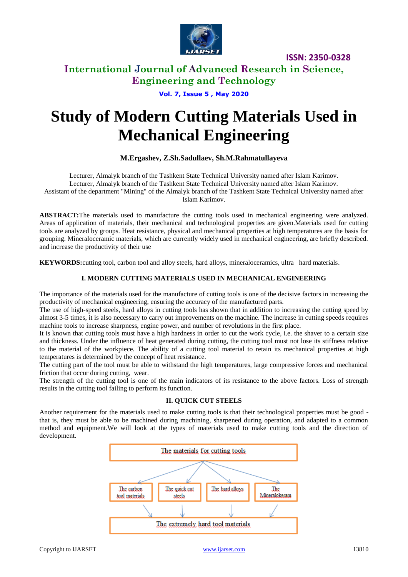

**ISSN: 2350-0328**

### **International Journal of Advanced Research in Science, Engineering and Technology**

**Vol. 7, Issue 5 , May 2020**

# **Study of Modern Cutting Materials Used in Mechanical Engineering**

### **M.Ergashev, Z.Sh.Sadullaev, Sh.M.Rahmatullayeva**

Lecturer, Almalyk branch of the Tashkent State Technical University named after Islam Karimov. Lecturer, Almalyk branch of the Tashkent State Technical University named after Islam Karimov. Assistant of the department "Mining" of the Almalyk branch of the Tashkent State Technical University named after Islam Karimov.

**ABSTRACT:**The materials used to manufacture the cutting tools used in mechanical engineering were analyzed. Areas of application of materials, their mechanical and technological properties are given.Materials used for cutting tools are analyzed by groups. Heat resistance, physical and mechanical properties at high temperatures are the basis for grouping. Mineraloceramic materials, which are currently widely used in mechanical engineering, are briefly described. and increase the productivity of their use

**KEYWORDS:**cutting tool, carbon tool and alloy steels, hard alloys, mineraloceramics, ultra hard materials*.*

### **I. MODERN CUTTING MATERIALS USED IN MECHANICAL ENGINEERING**

The importance of the materials used for the manufacture of cutting tools is one of the decisive factors in increasing the productivity of mechanical engineering, ensuring the accuracy of the manufactured parts.

The use of high-speed steels, hard alloys in cutting tools has shown that in addition to increasing the cutting speed by almost 3-5 times, it is also necessary to carry out improvements on the machine. The increase in cutting speeds requires machine tools to increase sharpness, engine power, and number of revolutions in the first place.

It is known that cutting tools must have a high hardness in order to cut the work cycle, i.e. the shaver to a certain size and thickness. Under the influence of heat generated during cutting, the cutting tool must not lose its stiffness relative to the material of the workpiece. The ability of a cutting tool material to retain its mechanical properties at high temperatures is determined by the concept of heat resistance.

The cutting part of the tool must be able to withstand the high temperatures, large compressive forces and mechanical friction that occur during cutting, wear.

The strength of the cutting tool is one of the main indicators of its resistance to the above factors. Loss of strength results in the cutting tool failing to perform its function.

### **II. QUICK CUT STEELS**

Another requirement for the materials used to make cutting tools is that their technological properties must be good that is, they must be able to be machined during machining, sharpened during operation, and adapted to a common method and equipment.We will look at the types of materials used to make cutting tools and the direction of development.

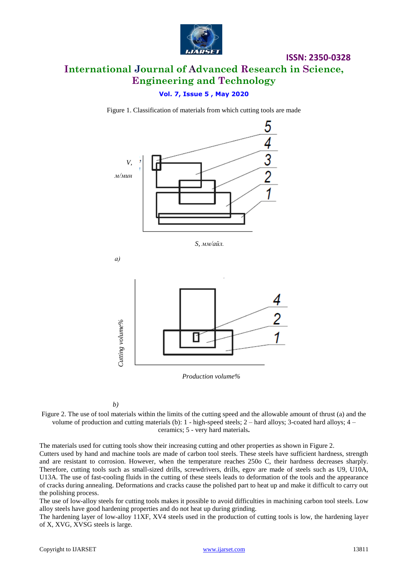

## **International Journal of Advanced Research in Science, Engineering and Technology**

**ISSN: 2350-0328**

### **Vol. 7, Issue 5 , May 2020**

Figure 1. Classification of materials from which cutting tools are made



*S, мм/айл.*

*а)*



*Production volume%*

Figure 2. The use of tool materials within the limits of the cutting speed and the allowable amount of thrust (a) and the volume of production and cutting materials (b):  $1$  - high-speed steels;  $2$  – hard alloys;  $3$ -coated hard alloys;  $4$  – ceramics; 5 - very hard materials**.**

The materials used for cutting tools show their increasing cutting and other properties as shown in Figure 2.

Cutters used by hand and machine tools are made of carbon tool steels. These steels have sufficient hardness, strength and are resistant to corrosion. However, when the temperature reaches 250o C, their hardness decreases sharply. Therefore, cutting tools such as small-sized drills, screwdrivers, drills, egov are made of steels such as U9, U10A, U13A. The use of fast-cooling fluids in the cutting of these steels leads to deformation of the tools and the appearance of cracks during annealing. Deformations and cracks cause the polished part to heat up and make it difficult to carry out the polishing process.

The use of low-alloy steels for cutting tools makes it possible to avoid difficulties in machining carbon tool steels. Low alloy steels have good hardening properties and do not heat up during grinding.

The hardening layer of low-alloy 11XF, XV4 steels used in the production of cutting tools is low, the hardening layer of X, XVG, XVSG steels is large.

*b)*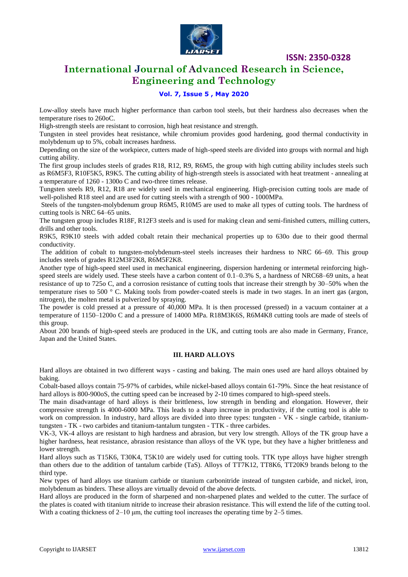

**ISSN: 2350-0328**

### **International Journal of Advanced Research in Science, Engineering and Technology**

### **Vol. 7, Issue 5 , May 2020**

Low-alloy steels have much higher performance than carbon tool steels, but their hardness also decreases when the temperature rises to 260oC.

High-strength steels are resistant to corrosion, high heat resistance and strength.

Tungsten in steel provides heat resistance, while chromium provides good hardening, good thermal conductivity in molybdenum up to 5%, cobalt increases hardness.

Depending on the size of the workpiece, cutters made of high-speed steels are divided into groups with normal and high cutting ability.

The first group includes steels of grades R18, R12, R9, R6M5, the group with high cutting ability includes steels such as R6M5F3, R10F5K5, R9K5. The cutting ability of high-strength steels is associated with heat treatment - annealing at a temperature of 1260 - 1300o C and two-three times release.

Tungsten steels R9, R12, R18 are widely used in mechanical engineering. High-precision cutting tools are made of well-polished R18 steel and are used for cutting steels with a strength of 900 - 1000MPa.

Steels of the tungsten-molybdenum group R6M5, R10M5 are used to make all types of cutting tools. The hardness of cutting tools is NRC 64–65 units.

The tungsten group includes R18F, R12F3 steels and is used for making clean and semi-finished cutters, milling cutters, drills and other tools.

R9K5, R9K10 steels with added cobalt retain their mechanical properties up to 630o due to their good thermal conductivity.

The addition of cobalt to tungsten-molybdenum-steel steels increases their hardness to NRC 66–69. This group includes steels of grades R12M3F2K8, R6M5F2K8.

Another type of high-speed steel used in mechanical engineering, dispersion hardening or intermetal reinforcing highspeed steels are widely used. These steels have a carbon content of 0.1–0.3% S, a hardness of NRC68–69 units, a heat resistance of up to 725o C, and a corrosion resistance of cutting tools that increase their strength by 30–50% when the temperature rises to 500 ° C. Making tools from powder-coated steels is made in two stages. In an inert gas (argon, nitrogen), the molten metal is pulverized by spraying.

The powder is cold pressed at a pressure of 40,000 MPa. It is then processed (pressed) in a vacuum container at a temperature of 1150–1200o C and a pressure of 14000 MPa. R18M3K6S, R6M4K8 cutting tools are made of steels of this group.

About 200 brands of high-speed steels are produced in the UK, and cutting tools are also made in Germany, France, Japan and the United States.

#### **III. HARD ALLOYS**

Hard alloys are obtained in two different ways - casting and baking. The main ones used are hard alloys obtained by baking.

Cobalt-based alloys contain 75-97% of carbides, while nickel-based alloys contain 61-79%. Since the heat resistance of hard alloys is 800-900oS, the cutting speed can be increased by 2-10 times compared to high-speed steels.

The main disadvantage of hard alloys is their brittleness, low strength in bending and elongation. However, their compressive strength is 4000-6000 MPa. This leads to a sharp increase in productivity, if the cutting tool is able to work on compression. In industry, hard alloys are divided into three types: tungsten - VK - single carbide, titaniumtungsten - TK - two carbides and titanium-tantalum tungsten - TTK - three carbides.

VK-3, VK-4 alloys are resistant to high hardness and abrasion, but very low strength. Alloys of the TK group have a higher hardness, heat resistance, abrasion resistance than alloys of the VK type, but they have a higher brittleness and lower strength.

Hard alloys such as T15K6, T30K4, T5K10 are widely used for cutting tools. TTK type alloys have higher strength than others due to the addition of tantalum carbide (TaS). Alloys of TT7K12, TT8K6, TT20K9 brands belong to the third type.

New types of hard alloys use titanium carbide or titanium carbonitride instead of tungsten carbide, and nickel, iron, molybdenum as binders. These alloys are virtually devoid of the above defects.

Hard alloys are produced in the form of sharpened and non-sharpened plates and welded to the cutter. The surface of the plates is coated with titanium nitride to increase their abrasion resistance. This will extend the life of the cutting tool. With a coating thickness of  $2-10 \mu m$ , the cutting tool increases the operating time by  $2-5$  times.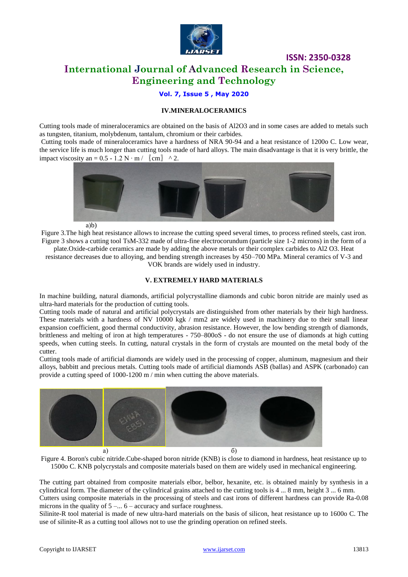

### **ISSN: 2350-0328 International Journal of Advanced Research in Science, Engineering and Technology**

### **Vol. 7, Issue 5 , May 2020**

### **IV.MINERALOCERAMICS**

Cutting tools made of mineraloceramics are obtained on the basis of Al2O3 and in some cases are added to metals such as tungsten, titanium, molybdenum, tantalum, chromium or their carbides.

Cutting tools made of mineraloceramics have a hardness of NRA 90-94 and a heat resistance of 1200o C. Low wear, the service life is much longer than cutting tools made of hard alloys. The main disadvantage is that it is very brittle, the impact viscosity an =  $0.5 - 1.2$  N ⋅ m /  $\lfloor$  cm $\rfloor$  ^ 2.



а)b)

Figure 3.The high heat resistance allows to increase the cutting speed several times, to process refined steels, cast iron. Figure 3 shows a cutting tool TsM-332 made of ultra-fine electrocorundum (particle size 1-2 microns) in the form of a plate.Oxide-carbide ceramics are made by adding the above metals or their complex carbides to Al2 O3. Heat

resistance decreases due to alloying, and bending strength increases by 450–700 MPa. Mineral ceramics of V-3 and VOK brands are widely used in industry.

#### **V. EXTREMELY HARD MATERIALS**

In machine building, natural diamonds, artificial polycrystalline diamonds and cubic boron nitride are mainly used as ultra-hard materials for the production of cutting tools.

Cutting tools made of natural and artificial polycrystals are distinguished from other materials by their high hardness. These materials with a hardness of NV 10000 kgk / mm2 are widely used in machinery due to their small linear expansion coefficient, good thermal conductivity, abrasion resistance. However, the low bending strength of diamonds, brittleness and melting of iron at high temperatures - 750–800oS - do not ensure the use of diamonds at high cutting speeds, when cutting steels. In cutting, natural crystals in the form of crystals are mounted on the metal body of the cutter.

Cutting tools made of artificial diamonds are widely used in the processing of copper, aluminum, magnesium and their alloys, babbitt and precious metals. Cutting tools made of artificial diamonds ASB (ballas) and ASPK (carbonado) can provide a cutting speed of 1000-1200 m / min when cutting the above materials.



Figure 4. Boron's cubic nitride.Cube-shaped boron nitride (KNB) is close to diamond in hardness, heat resistance up to 1500o C. KNB polycrystals and composite materials based on them are widely used in mechanical engineering.

The cutting part obtained from composite materials elbor, belbor, hexanite, etc. is obtained mainly by synthesis in a cylindrical form. The diameter of the cylindrical grains attached to the cutting tools is 4 ... 8 mm, height 3 ... 6 mm. Cutters using composite materials in the processing of steels and cast irons of different hardness can provide Ra-0.08 microns in the quality of  $5 - ... 6$  – accuracy and surface roughness.

Silinite-R tool material is made of new ultra-hard materials on the basis of silicon, heat resistance up to 1600o C. The use of silinite-R as a cutting tool allows not to use the grinding operation on refined steels.